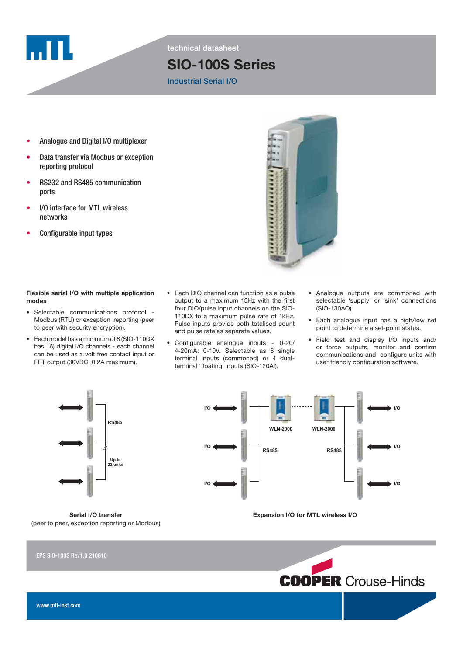

technical datasheet

# SIO-100S Series

### Industrial Serial I/O

- Analogue and Digital I/O multiplexer
- Data transfer via Modbus or exception reporting protocol
- RS232 and RS485 communication ports
- I/O interface for MTL wireless networks
- Configurable input types



### Flexible serial I/O with multiple application modes

- Selectable communications protocol Modbus (RTU) or exception reporting (peer to peer with security encryption).
- Each model has a minimum of 8 (SIO-110DX has 16) digital I/O channels - each channel can be used as a volt free contact input or FET output (30VDC, 0.2A maximum).
- Each DIO channel can function as a pulse output to a maximum 15Hz with the first four DIO/pulse input channels on the SIO-110DX to a maximum pulse rate of 1kHz. Pulse inputs provide both totalised count and pulse rate as separate values.
- Configurable analogue inputs 0-20/ 4-20mA: 0-10V. Selectable as 8 single terminal inputs (commoned) or 4 dualterminal 'floating' inputs (SIO-120AI).
- Analogue outputs are commoned with selectable 'supply' or 'sink' connections (SIO-130AO).
- Each analogue input has a high/low set point to determine a set-point status.
- Field test and display I/O inputs and/ or force outputs, monitor and confirm communications and configure units with user friendly configuration software.



Serial I/O transfer (peer to peer, exception reporting or Modbus)



Expansion I/O for MTL wireless I/O